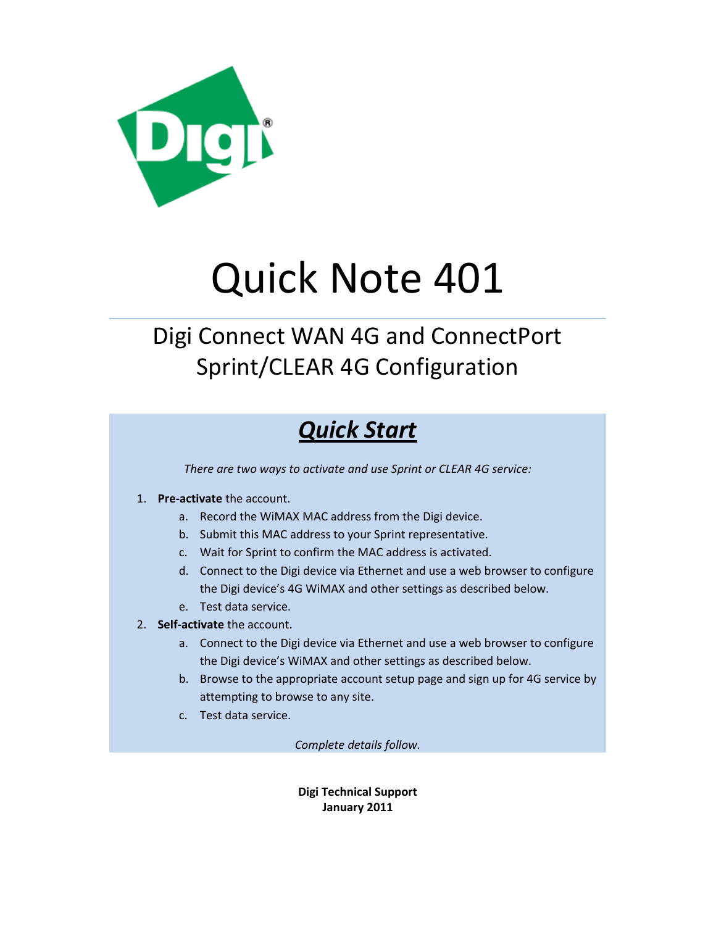

# Quick Note 401

# Digi Connect WAN 4G and ConnectPort Sprint/CLEAR 4G Configuration

# *Quick Start*

*There are two ways to activate and use Sprint or CLEAR 4G service:*

- 1. **Pre-activate** the account.
	- a. Record the WiMAX MAC address from the Digi device.
	- b. Submit this MAC address to your Sprint representative.
	- c. Wait for Sprint to confirm the MAC address is activated.
	- d. Connect to the Digi device via Ethernet and use a web browser to configure the Digi device's 4G WiMAX and other settings as described below.
	- e. Test data service.
- 2. **Self-activate** the account.
	- a. Connect to the Digi device via Ethernet and use a web browser to configure the Digi device's WiMAX and other settings as described below.
	- b. Browse to the appropriate account setup page and sign up for 4G service by attempting to browse to any site.
	- c. Test data service.

*Complete details follow.*

**Digi Technical Support January 2011**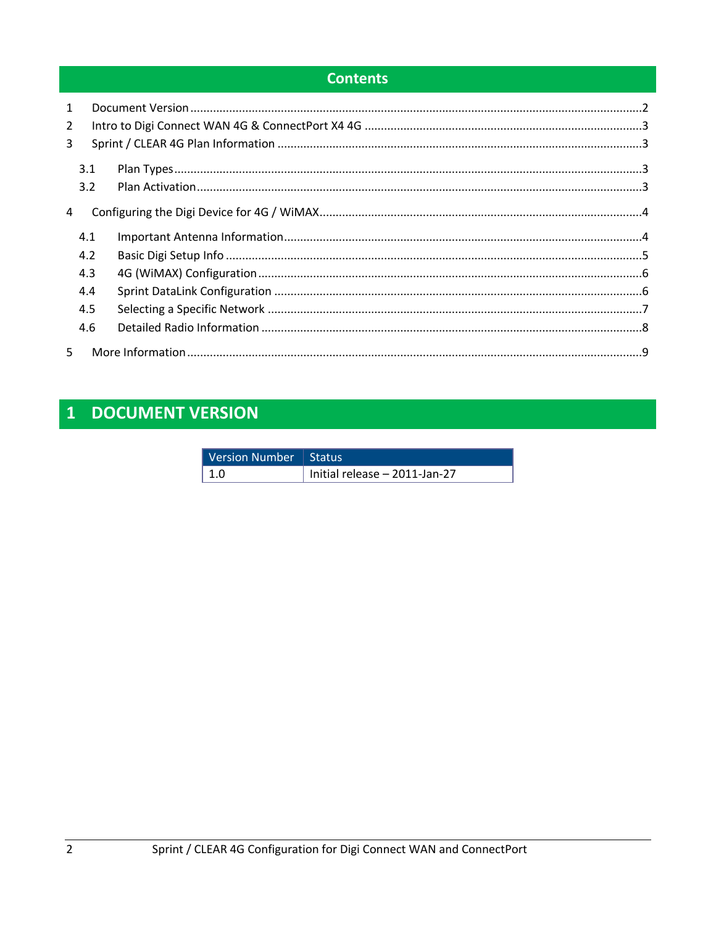## **Contents**

| $\mathbf{1}$   |     |  |
|----------------|-----|--|
| $\overline{2}$ |     |  |
| 3              |     |  |
|                | 3.1 |  |
|                | 3.2 |  |
| $\overline{4}$ |     |  |
|                | 4.1 |  |
|                | 4.2 |  |
|                | 4.3 |  |
|                | 4.4 |  |
|                | 4.5 |  |
|                | 4.6 |  |
| 5 <sub>1</sub> |     |  |

# <span id="page-1-0"></span>1 DOCUMENT VERSION

| Version Number   Status |                                 |
|-------------------------|---------------------------------|
| l 1.0                   | Initial release $-$ 2011-Jan-27 |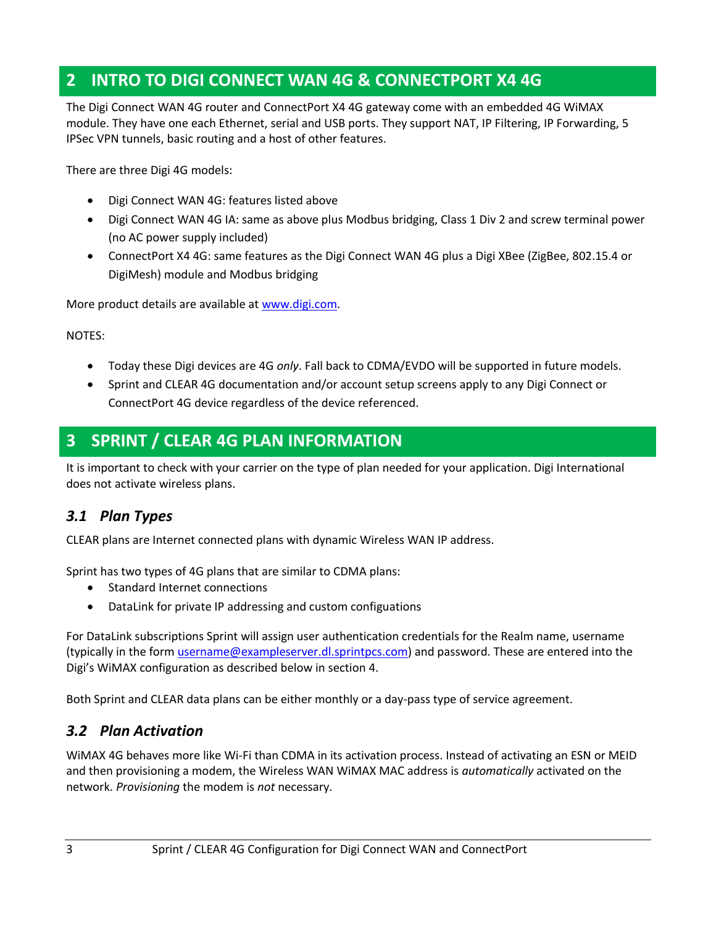# <span id="page-2-0"></span>**2 INTRO TO DIGI CONNECT WAN 4G & CONNECTPORT X4 4G**

The Digi Connect WAN 4G router and ConnectPort X4 4G gateway come with an embedded 4G WiMAX module. They have one each Ethernet, serial and USB ports. They support NAT, IP Filtering, IP Forwarding, 5 IPSec VPN tunnels, basic routing and a host of other features.

There are three Digi 4G models:

- Digi Connect WAN 4G: features listed above
- Digi Connect WAN 4G IA: same as above plus Modbus bridging, Class 1 Div 2 and screw terminal power (no AC power supply included)
- ConnectPort X4 4G: same features as the Digi Connect WAN 4G plus a Digi XBee (ZigBee, 802.15.4 or DigiMesh) module and Modbus bridging

More product details are available at [www.digi.com.](http://www.digi.com/)

NOTES:

- Today these Digi devices are 4G *only*. Fall back to CDMA/EVDO will be supported in future models.
- Sprint and CLEAR 4G documentation and/or account setup screens apply to any Digi Connect or ConnectPort 4G device regardless of the device referenced.

# <span id="page-2-1"></span>**3 SPRINT / CLEAR 4G PLAN INFORMATION**

It is important to check with your carrier on the type of plan needed for your application. Digi International does not activate wireless plans.

#### <span id="page-2-2"></span>*3.1 Plan Types*

CLEAR plans are Internet connected plans with dynamic Wireless WAN IP address.

Sprint has two types of 4G plans that are similar to CDMA plans:

- Standard Internet connections
- DataLink for private IP addressing and custom configuations

For DataLink subscriptions Sprint will assign user authentication credentials for the Realm name, username (typically in the form [username@exampleserver.dl.sprintpcs.com\)](mailto:username@exampleserver.dl.sprintpcs.com) and password. These are entered into the Digi's WiMAX configuration as described below in section 4.

Both Sprint and CLEAR data plans can be either monthly or a day-pass type of service agreement.

#### <span id="page-2-3"></span>*3.2 Plan Activation*

WiMAX 4G behaves more like Wi-Fi than CDMA in its activation process. Instead of activating an ESN or MEID and then provisioning a modem, the Wireless WAN WiMAX MAC address is *automatically* activated on the network. *Provisioning* the modem is *not* necessary.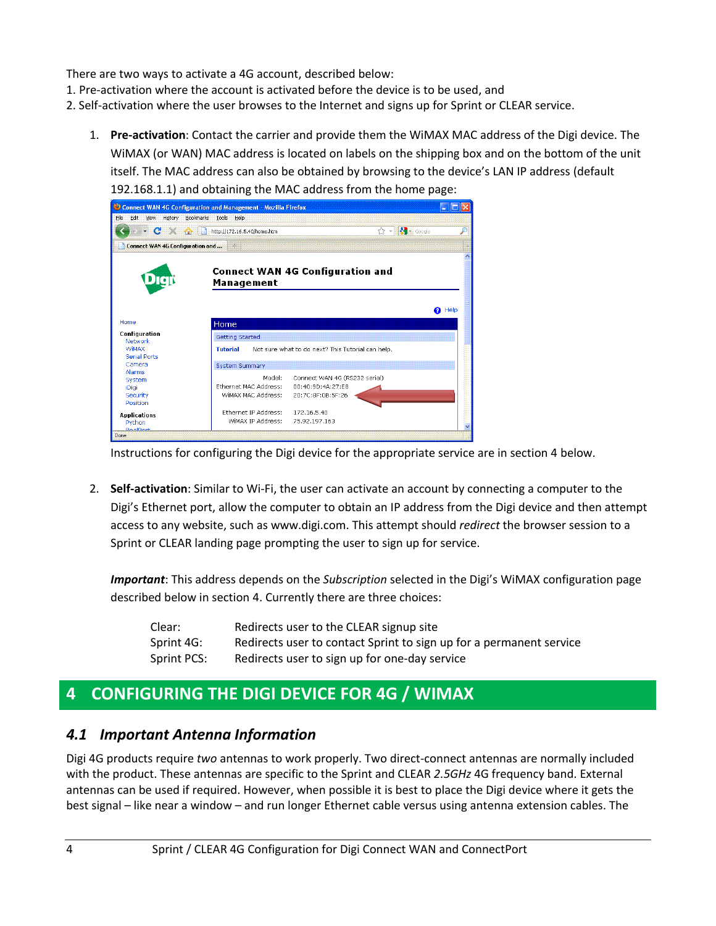There are two ways to activate a 4G account, described below:

- 1. Pre-activation where the account is activated before the device is to be used, and
- 2. Self-activation where the user browses to the Internet and signs up for Sprint or CLEAR service.
	- 1. **Pre-activation**: Contact the carrier and provide them the WiMAX MAC address of the Digi device. The WiMAX (or WAN) MAC address is located on labels on the shipping box and on the bottom of the unit itself. The MAC address can also be obtained by browsing to the device's LAN IP address (default 192.168.1.1) and obtaining the MAC address from the home page:

| Connect WAN 4G Configuration and Management - Mozilla Firefox |                                                       |                                                                         |                             |
|---------------------------------------------------------------|-------------------------------------------------------|-------------------------------------------------------------------------|-----------------------------|
| Eile<br>Edit View                                             | History Bookmarks Tools Help                          |                                                                         |                             |
|                                                               | C X 1 http://172.16.5.40/home.htm                     | ☆                                                                       | $\frac{1}{2}$ = Google<br>₽ |
| <b>Connect WAN 4G Configuration and </b>                      | $\frac{1}{2}$                                         |                                                                         |                             |
|                                                               | Management                                            | <b>Connect WAN 4G Configuration and</b>                                 |                             |
| Home                                                          | Home                                                  |                                                                         | Help<br>Q                   |
| Configuration<br>Network                                      | Getting Started                                       |                                                                         |                             |
| WiMAX<br><b>Serial Ports</b>                                  | <b>Tutorial</b>                                       | Not sure what to do next? This Tutorial can help.                       |                             |
| Camera                                                        | <b>System Summary</b>                                 |                                                                         |                             |
| <b>Alarms</b><br>System<br>iDigi<br>Security<br>Position      | Model:<br>Ethernet MAC Address:<br>WIMAX MAC Address: | Connect WAN 4G (RS232 serial)<br>00:40:90:4A:27:E8<br>20:7C:8F:0B:5F:26 |                             |
| <b>Applications</b><br>Python<br><b>PoplBort</b><br>Done      | Ethernet IP Address:<br>WiMAX IP Address:             | 172.16.5.40<br>75.92.197.163                                            |                             |

Instructions for configuring the Digi device for the appropriate service are in section 4 below.

2. **Self-activation**: Similar to Wi-Fi, the user can activate an account by connecting a computer to the Digi's Ethernet port, allow the computer to obtain an IP address from the Digi device and then attempt access to any website, such as www.digi.com. This attempt should *redirect* the browser session to a Sprint or CLEAR landing page prompting the user to sign up for service.

*Important*: This address depends on the *Subscription* selected in the Digi's WiMAX configuration page described below in section 4. Currently there are three choices:

| Clear:      | Redirects user to the CLEAR signup site                             |
|-------------|---------------------------------------------------------------------|
| Sprint 4G:  | Redirects user to contact Sprint to sign up for a permanent service |
| Sprint PCS: | Redirects user to sign up for one-day service                       |

# <span id="page-3-0"></span>**4 CONFIGURING THE DIGI DEVICE FOR 4G / WIMAX**

#### <span id="page-3-1"></span>*4.1 Important Antenna Information*

Digi 4G products require *two* antennas to work properly. Two direct-connect antennas are normally included with the product. These antennas are specific to the Sprint and CLEAR *2.5GHz* 4G frequency band. External antennas can be used if required. However, when possible it is best to place the Digi device where it gets the best signal – like near a window – and run longer Ethernet cable versus using antenna extension cables. The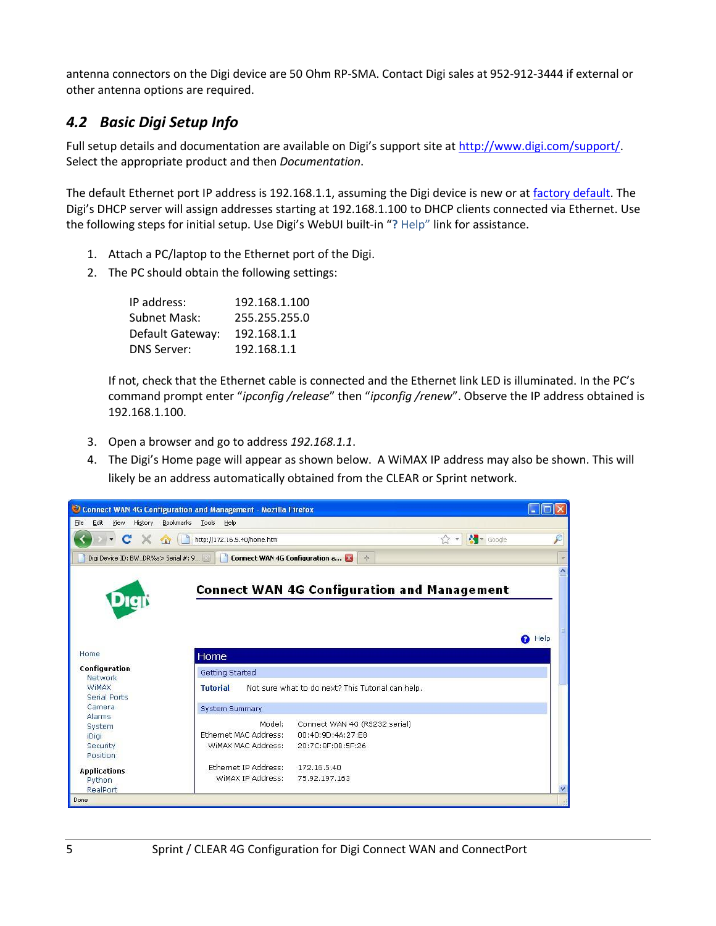antenna connectors on the Digi device are 50 Ohm RP-SMA. Contact Digi sales at 952-912-3444 if external or other antenna options are required.

## <span id="page-4-0"></span>*4.2 Basic Digi Setup Info*

Full setup details and documentation are available on Digi's support site at [http://www.digi.com/support/.](http://www.digi.com/support/) Select the appropriate product and then *Documentation*.

The default Ethernet port IP address is 192.168.1.1, assuming the Digi device is new or at [factory default.](http://www.digi.com/support/kbase/kbaseresultdetl.jsp?id=3075&hit=How%20do%20I%20reset%20the%20DC%20Wan%203G%20to%20Factory%20Defaults?#knowledgebase) The Digi's DHCP server will assign addresses starting at 192.168.1.100 to DHCP clients connected via Ethernet. Use the following steps for initial setup. Use Digi's WebUI built-in "**?** Help" link for assistance.

- 1. Attach a PC/laptop to the Ethernet port of the Digi.
- 2. The PC should obtain the following settings:

| IP address:        | 192.168.1.100 |
|--------------------|---------------|
| Subnet Mask:       | 255.255.255.0 |
| Default Gateway:   | 192.168.1.1   |
| <b>DNS Server:</b> | 192.168.1.1   |

If not, check that the Ethernet cable is connected and the Ethernet link LED is illuminated. In the PC's command prompt enter "*ipconfig /release*" then "*ipconfig /renew*". Observe the IP address obtained is 192.168.1.100.

- 3. Open a browser and go to address *192.168.1.1*.
- 4. The Digi's Home page will appear as shown below. A WiMAX IP address may also be shown. This will likely be an address automatically obtained from the CLEAR or Sprint network.

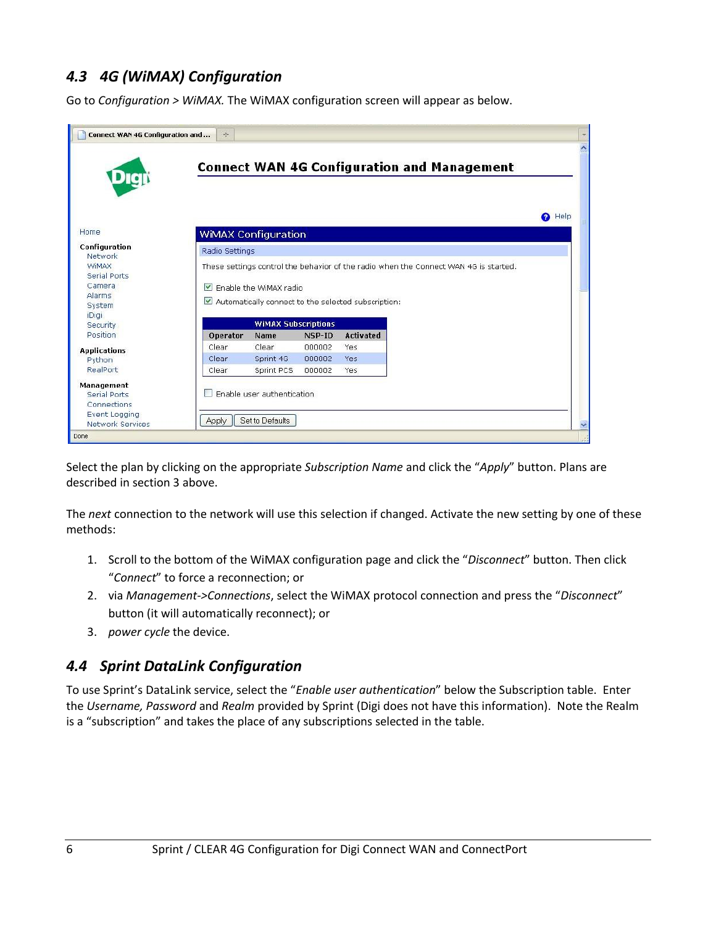# <span id="page-5-0"></span>*4.3 4G (WiMAX) Configuration*

Go to *Configuration > WiMAX.* The WiMAX configuration screen will appear as below.

|                                     | <b>Connect WAN 4G Configuration and Management</b> |                                                            |        |                  |  |                                                                                      |               |
|-------------------------------------|----------------------------------------------------|------------------------------------------------------------|--------|------------------|--|--------------------------------------------------------------------------------------|---------------|
|                                     |                                                    |                                                            |        |                  |  |                                                                                      | <b>Q</b> Help |
| Home                                | <b>WiMAX Configuration</b>                         |                                                            |        |                  |  |                                                                                      |               |
| Configuration<br>Network            | Radio Settings                                     |                                                            |        |                  |  |                                                                                      |               |
| <b>WIMAX</b>                        |                                                    |                                                            |        |                  |  | These settings control the behavior of the radio when the Connect WAN 4G is started. |               |
| <b>Serial Ports</b><br>Camera       |                                                    | Enable the WiMAX radio                                     |        |                  |  |                                                                                      |               |
| Alarms                              |                                                    |                                                            |        |                  |  |                                                                                      |               |
| System                              |                                                    | $\vee$ Automatically connect to the selected subscription: |        |                  |  |                                                                                      |               |
| <i><b>iDigi</b></i>                 |                                                    | <b>WIMAX Subscriptions</b>                                 |        |                  |  |                                                                                      |               |
| Security<br>Position                | Operator                                           | Name                                                       | NSP-ID | <b>Activated</b> |  |                                                                                      |               |
|                                     | Clear                                              | Clear                                                      | 000002 | Yes              |  |                                                                                      |               |
| <b>Applications</b><br>Python       | Clear.                                             | Sprint 4G                                                  | 000002 | Yes              |  |                                                                                      |               |
| RealPort                            | Clear                                              | Sprint PCS                                                 | 000002 | Yes              |  |                                                                                      |               |
| Management                          |                                                    |                                                            |        |                  |  |                                                                                      |               |
| <b>Serial Ports</b>                 |                                                    | Enable user authentication                                 |        |                  |  |                                                                                      |               |
|                                     |                                                    |                                                            |        |                  |  |                                                                                      |               |
| Connections<br><b>Event Logging</b> |                                                    |                                                            |        |                  |  |                                                                                      |               |

Select the plan by clicking on the appropriate *Subscription Name* and click the "*Apply*" button. Plans are described in section 3 above.

The *next* connection to the network will use this selection if changed. Activate the new setting by one of these methods:

- 1. Scroll to the bottom of the WiMAX configuration page and click the "*Disconnect*" button. Then click "*Connect*" to force a reconnection; or
- 2. via *Management->Connections*, select the WiMAX protocol connection and press the "*Disconnect*" button (it will automatically reconnect); or
- 3. *power cycle* the device.

#### <span id="page-5-1"></span>*4.4 Sprint DataLink Configuration*

To use Sprint's DataLink service, select the "*Enable user authentication*" below the Subscription table. Enter the *Username, Password* and *Realm* provided by Sprint (Digi does not have this information). Note the Realm is a "subscription" and takes the place of any subscriptions selected in the table.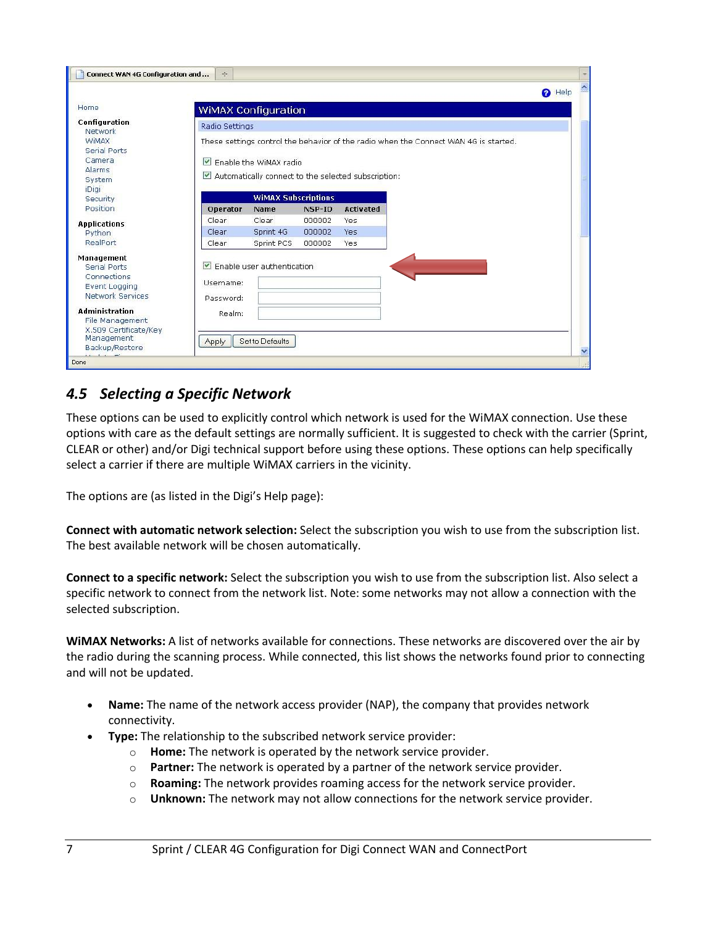| Connect WAN 4G Configuration and    | $\omega_{\rm c}$           |                                              |        |                                                     |                                                                                      |               |
|-------------------------------------|----------------------------|----------------------------------------------|--------|-----------------------------------------------------|--------------------------------------------------------------------------------------|---------------|
|                                     |                            |                                              |        |                                                     |                                                                                      | <b>O</b> Help |
| Home                                | <b>WiMAX Configuration</b> |                                              |        |                                                     |                                                                                      |               |
| Configuration                       | Radio Settings             |                                              |        |                                                     |                                                                                      |               |
| Network<br><b>WIMAX</b>             |                            |                                              |        |                                                     |                                                                                      |               |
| <b>Serial Ports</b>                 |                            |                                              |        |                                                     | These settings control the behavior of the radio when the Connect WAN 4G is started. |               |
| Camera                              |                            | $\blacktriangleright$ Enable the WiMAX radio |        |                                                     |                                                                                      |               |
| Alarms                              |                            |                                              |        |                                                     |                                                                                      |               |
| System                              |                            |                                              |        | Automatically connect to the selected subscription: |                                                                                      |               |
| iDigi                               |                            |                                              |        |                                                     |                                                                                      |               |
| Security                            |                            | <b>WIMAX Subscriptions</b>                   |        |                                                     |                                                                                      |               |
| Position                            | Operator                   | Name                                         | NSP-ID | <b>Activated</b>                                    |                                                                                      |               |
| <b>Applications</b>                 | Clear                      | Clear                                        | 000002 | Yes.                                                |                                                                                      |               |
| Python                              | Clear                      | Sprint 4G                                    | 000002 | Yes                                                 |                                                                                      |               |
| RealPort                            | Clear                      | Sprint PCS                                   | 000002 | Yes                                                 |                                                                                      |               |
| Management                          |                            |                                              |        |                                                     |                                                                                      |               |
| Serial Ports                        | $\vee$                     | Enable user authentication                   |        |                                                     |                                                                                      |               |
| Connections                         | Username:                  |                                              |        |                                                     |                                                                                      |               |
| <b>Event Logging</b>                |                            |                                              |        |                                                     |                                                                                      |               |
| Network Services                    | Password:                  |                                              |        |                                                     |                                                                                      |               |
| <b>Administration</b>               | Realm:                     |                                              |        |                                                     |                                                                                      |               |
| File Management                     |                            |                                              |        |                                                     |                                                                                      |               |
| X.509 Certificate/Key               |                            |                                              |        |                                                     |                                                                                      |               |
| <b>Management</b><br>Backup/Restore | Apply                      | Set to Defaults                              |        |                                                     |                                                                                      |               |
| Done                                |                            |                                              |        |                                                     |                                                                                      |               |

#### <span id="page-6-0"></span>*4.5 Selecting a Specific Network*

These options can be used to explicitly control which network is used for the WiMAX connection. Use these options with care as the default settings are normally sufficient. It is suggested to check with the carrier (Sprint, CLEAR or other) and/or Digi technical support before using these options. These options can help specifically select a carrier if there are multiple WiMAX carriers in the vicinity.

The options are (as listed in the Digi's Help page):

**Connect with automatic network selection:** Select the subscription you wish to use from the subscription list. The best available network will be chosen automatically.

**Connect to a specific network:** Select the subscription you wish to use from the subscription list. Also select a specific network to connect from the network list. Note: some networks may not allow a connection with the selected subscription.

**WiMAX Networks:** A list of networks available for connections. These networks are discovered over the air by the radio during the scanning process. While connected, this list shows the networks found prior to connecting and will not be updated.

- **Name:** The name of the network access provider (NAP), the company that provides network connectivity.
- **Type:** The relationship to the subscribed network service provider:
	- o **Home:** The network is operated by the network service provider.
	- o **Partner:** The network is operated by a partner of the network service provider.
	- o **Roaming:** The network provides roaming access for the network service provider.
	- o **Unknown:** The network may not allow connections for the network service provider.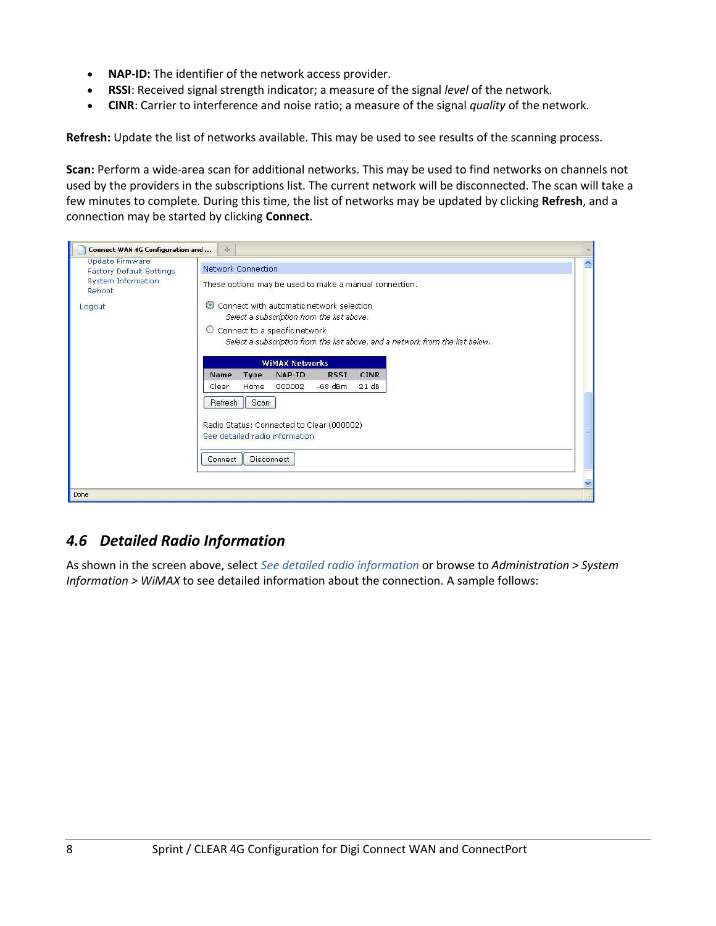- **NAP-ID:** The identifier of the network access provider.
- **RSSI**: Received signal strength indicator; a measure of the signal *level* of the network.
- **CINR**: Carrier to interference and noise ratio; a measure of the signal *quality* of the network.

**Refresh:** Update the list of networks available. This may be used to see results of the scanning process.

**Scan:** Perform a wide-area scan for additional networks. This may be used to find networks on channels not used by the providers in the subscriptions list. The current network will be disconnected. The scan will take a few minutes to complete. During this time, the list of networks may be updated by clicking **Refresh**, and a connection may be started by clicking **Connect**.

| Network Connection                                                                                                                                          |                                                                             |  |  |  |  |                                                             |
|-------------------------------------------------------------------------------------------------------------------------------------------------------------|-----------------------------------------------------------------------------|--|--|--|--|-------------------------------------------------------------|
| These options may be used to make a manual connection.                                                                                                      |                                                                             |  |  |  |  |                                                             |
| Connect with automatic network selection<br>Select a subscription from the list above.                                                                      |                                                                             |  |  |  |  |                                                             |
| $\circlearrowright$ Connect to a specific network<br>Select a subscription from the list above, and a network from the list below.<br><b>WIMAX Networks</b> |                                                                             |  |  |  |  |                                                             |
|                                                                                                                                                             |                                                                             |  |  |  |  | NAP-ID<br><b>RSSI</b><br><b>CINR</b><br>Name<br><b>Type</b> |
| $-68$ dBm<br>Clear<br>000002<br>21 dB<br>Home                                                                                                               |                                                                             |  |  |  |  |                                                             |
| Scan<br>Refresh                                                                                                                                             |                                                                             |  |  |  |  |                                                             |
|                                                                                                                                                             |                                                                             |  |  |  |  |                                                             |
|                                                                                                                                                             |                                                                             |  |  |  |  |                                                             |
|                                                                                                                                                             |                                                                             |  |  |  |  |                                                             |
| <b>Disconnect</b><br>Connect                                                                                                                                |                                                                             |  |  |  |  |                                                             |
|                                                                                                                                                             |                                                                             |  |  |  |  |                                                             |
|                                                                                                                                                             | Radio Status: Connected to Clear (000002)<br>See detailed radio information |  |  |  |  |                                                             |

## <span id="page-7-0"></span>*4.6 Detailed Radio Information*

As shown in the screen above, select *See detailed radio information* or browse to *Administration > System Information > WiMAX* to see detailed information about the connection. A sample follows: